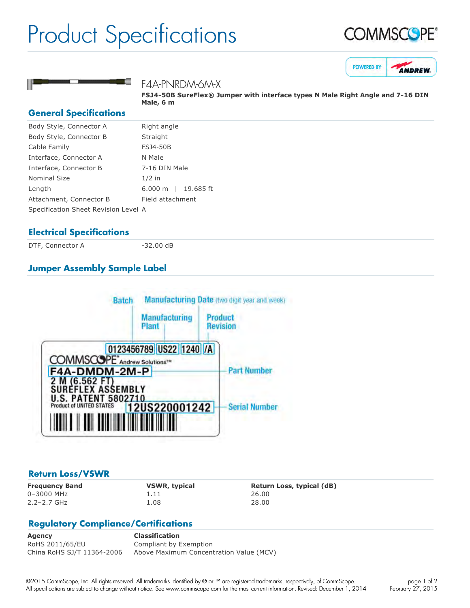# Product Specifications







### F4A-PNRDM-6M-X

**FSJ4-50B SureFlex® Jumper with interface types N Male Right Angle and 7-16 DIN Male, 6 m**

#### **General Specifications**

| Body Style, Connector A              | Right angle                        |
|--------------------------------------|------------------------------------|
| Body Style, Connector B              | Straight                           |
| Cable Family                         | <b>FSJ4-50B</b>                    |
| Interface, Connector A               | N Male                             |
| Interface, Connector B               | 7-16 DIN Male                      |
| <b>Nominal Size</b>                  | $1/2$ in                           |
| Length                               | 19.685 ft<br>$6.000 \; \mathrm{m}$ |
| Attachment, Connector B              | Field attachment                   |
| Specification Sheet Revision Level A |                                    |
|                                      |                                    |

### **Electrical Specifications**

DTF, Connector A 32.00 dB

## **Jumper Assembly Sample Label**



#### **Return Loss/VSWR**

0–3000 MHz 1.11 26.00 2.2–2.7 GHz 1.08 28.00

**Frequency Band VSWR, typical Return Loss, typical (dB)**

## **Regulatory Compliance/Certifications**

**Agency Classification** RoHS 2011/65/EU Compliant by Exemption China RoHS SJ/T 11364-2006 Above Maximum Concentration Value (MCV)

©2015 CommScope, Inc. All rights reserved. All trademarks identified by ® or ™ are registered trademarks, respectively, of CommScope. All specifications are subject to change without notice. See www.commscope.com for the most current information. Revised: December 1, 2014